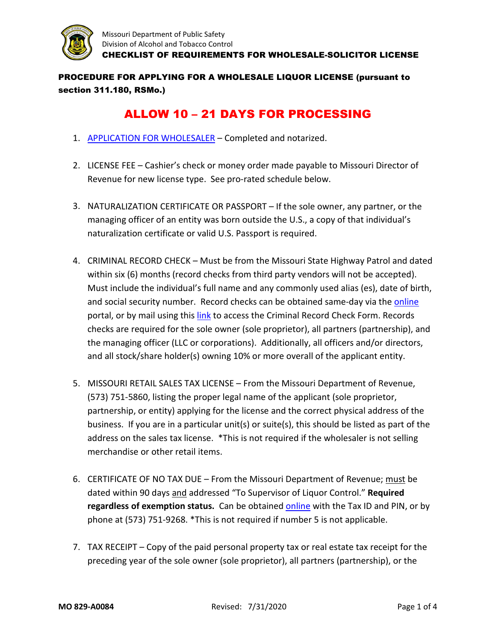

PROCEDURE FOR APPLYING FOR A WHOLESALE LIQUOR LICENSE (pursuant to section 311.180, RSMo.)

## ALLOW 10 – 21 DAYS FOR PROCESSING

- 1. [APPLICATION FOR WHOLESALER](https://atc.dps.mo.gov/documents/forms/MO_829-A0001.pdf)  Completed and notarized.
- 2. LICENSE FEE Cashier's check or money order made payable to Missouri Director of Revenue for new license type. See pro-rated schedule below.
- 3. NATURALIZATION CERTIFICATE OR PASSPORT If the sole owner, any partner, or the managing officer of an entity was born outside the U.S., a copy of that individual's naturalization certificate or valid U.S. Passport is required.
- 4. CRIMINAL RECORD CHECK Must be from the Missouri State Highway Patrol and dated within six (6) months (record checks from third party vendors will not be accepted). Must include the individual's full name and any commonly used alias (es), date of birth, and social security number. Record checks can be obtained same-day via the [online](https://www.machs.mshp.dps.mo.gov/MocchWebInterface/home.html) portal, or by mail using this [link](https://www.mshp.dps.missouri.gov/MSHPWeb/PatrolDivisions/CRID/crimRecChk.html) to access the Criminal Record Check Form. Records checks are required for the sole owner (sole proprietor), all partners (partnership), and the managing officer (LLC or corporations). Additionally, all officers and/or directors, and all stock/share holder(s) owning 10% or more overall of the applicant entity.
- 5. MISSOURI RETAIL SALES TAX LICENSE From the Missouri Department of Revenue, (573) 751-5860, listing the proper legal name of the applicant (sole proprietor, partnership, or entity) applying for the license and the correct physical address of the business. If you are in a particular unit(s) or suite(s), this should be listed as part of the address on the sales tax license. \*This is not required if the wholesaler is not selling merchandise or other retail items.
- 6. CERTIFICATE OF NO TAX DUE From the Missouri Department of Revenue; must be dated within 90 days and addressed "To Supervisor of Liquor Control." **Required regardless of exemption status.** Can be obtained [online](https://mytax.mo.gov/rptp/portal/home/business/no-tax-due-selection/!ut/p/a1/04_Sj9CPykssy0xPLMnMz0vMAfGjzOKNLR3NPIyDDXz8XQOdDRyNw0zCDEMdjQ1MDIAKIpEVWPh5uBo4ugQ7-7o6uxsbGJgQp98AB3A0IKQ_XD8KVQkWF0AUWBg4u3sYGHm5hwYbGTj6O4aahDl6AVkwBXjcUJAbGmGQ6akIAPJJcmk!/dl5/d5/L2dBISEvZ0FBIS9nQSEh/) with the Tax ID and PIN, or by phone at (573) 751-9268. \*This is not required if number 5 is not applicable.
- 7. TAX RECEIPT Copy of the paid personal property tax or real estate tax receipt for the preceding year of the sole owner (sole proprietor), all partners (partnership), or the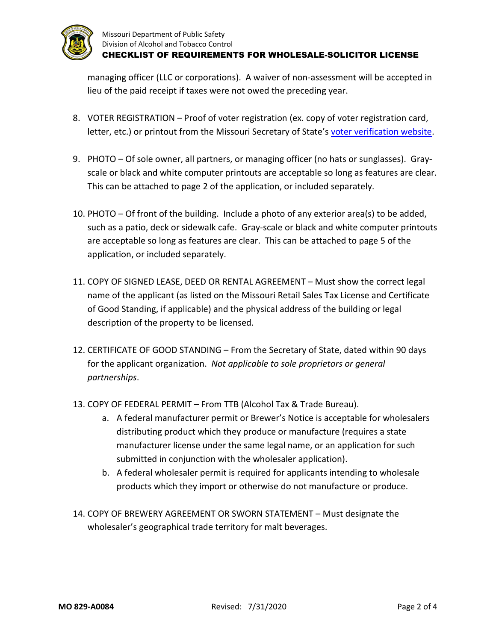

managing officer (LLC or corporations). A waiver of non-assessment will be accepted in lieu of the paid receipt if taxes were not owed the preceding year.

- 8. VOTER REGISTRATION Proof of voter registration (ex. copy of voter registration card, letter, etc.) or printout from the Missouri Secretary of State's [voter verification website.](https://s1.sos.mo.gov/elections/voterlookup/)
- 9. PHOTO Of sole owner, all partners, or managing officer (no hats or sunglasses). Grayscale or black and white computer printouts are acceptable so long as features are clear. This can be attached to page 2 of the application, or included separately.
- 10. PHOTO Of front of the building. Include a photo of any exterior area(s) to be added, such as a patio, deck or sidewalk cafe. Gray-scale or black and white computer printouts are acceptable so long as features are clear. This can be attached to page 5 of the application, or included separately.
- 11. COPY OF SIGNED LEASE, DEED OR RENTAL AGREEMENT Must show the correct legal name of the applicant (as listed on the Missouri Retail Sales Tax License and Certificate of Good Standing, if applicable) and the physical address of the building or legal description of the property to be licensed.
- 12. CERTIFICATE OF GOOD STANDING From the Secretary of State, dated within 90 days for the applicant organization. *Not applicable to sole proprietors or general partnerships*.
- 13. COPY OF FEDERAL PERMIT From TTB (Alcohol Tax & Trade Bureau).
	- a. A federal manufacturer permit or Brewer's Notice is acceptable for wholesalers distributing product which they produce or manufacture (requires a state manufacturer license under the same legal name, or an application for such submitted in conjunction with the wholesaler application).
	- b. A federal wholesaler permit is required for applicants intending to wholesale products which they import or otherwise do not manufacture or produce.
- 14. COPY OF BREWERY AGREEMENT OR SWORN STATEMENT Must designate the wholesaler's geographical trade territory for malt beverages.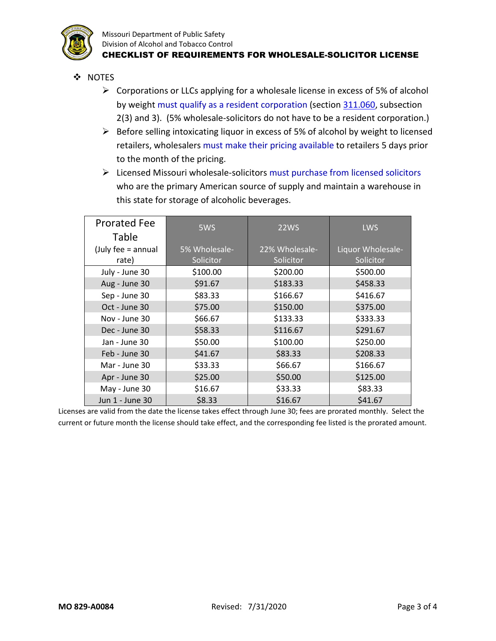

Missouri Department of Public Safety Division of Alcohol and Tobacco Control CHECKLIST OF REQUIREMENTS FOR WHOLESALE-SOLICITOR LICENSE

- ❖ NOTES
	- $\triangleright$  Corporations or LLCs applying for a wholesale license in excess of 5% of alcohol by weight must qualify as a resident corporation (sectio[n 311.060,](http://revisor.mo.gov/main/OneSection.aspx?section=311.060&bid=33868&hl=) subsection 2(3) and 3). (5% wholesale-solicitors do not have to be a resident corporation.)
	- $\triangleright$  Before selling intoxicating liquor in excess of 5% of alcohol by weight to licensed retailers, wholesalers must make their pricing available to retailers 5 days prior to the month of the pricing.
	- $\triangleright$  Licensed Missouri wholesale-solicitors must purchase from licensed solicitors who are the primary American source of supply and maintain a warehouse in this state for storage of alcoholic beverages.

| <b>Prorated Fee</b> | 5WS           | <b>22WS</b>    | <b>LWS</b>        |
|---------------------|---------------|----------------|-------------------|
| Table               |               |                |                   |
| (July fee = annual  | 5% Wholesale- | 22% Wholesale- | Liquor Wholesale- |
| rate)               | Solicitor     | Solicitor      | Solicitor         |
| July - June 30      | \$100.00      | \$200.00       | \$500.00          |
| Aug - June 30       | \$91.67       | \$183.33       | \$458.33          |
| Sep - June 30       | \$83.33       | \$166.67       | \$416.67          |
| Oct - June 30       | \$75.00       | \$150.00       | \$375.00          |
| Nov - June 30       | \$66.67       | \$133.33       | \$333.33          |
| Dec - June 30       | \$58.33       | \$116.67       | \$291.67          |
| Jan - June 30       | \$50.00       | \$100.00       | \$250.00          |
| Feb - June 30       | \$41.67       | \$83.33        | \$208.33          |
| Mar - June 30       | \$33.33       | \$66.67        | \$166.67          |
| Apr - June 30       | \$25.00       | \$50.00        | \$125.00          |
| May - June 30       | \$16.67       | \$33.33        | \$83.33           |
| Jun 1 - June 30     | \$8.33        | \$16.67        | \$41.67           |

Licenses are valid from the date the license takes effect through June 30; fees are prorated monthly. Select the current or future month the license should take effect, and the corresponding fee listed is the prorated amount.